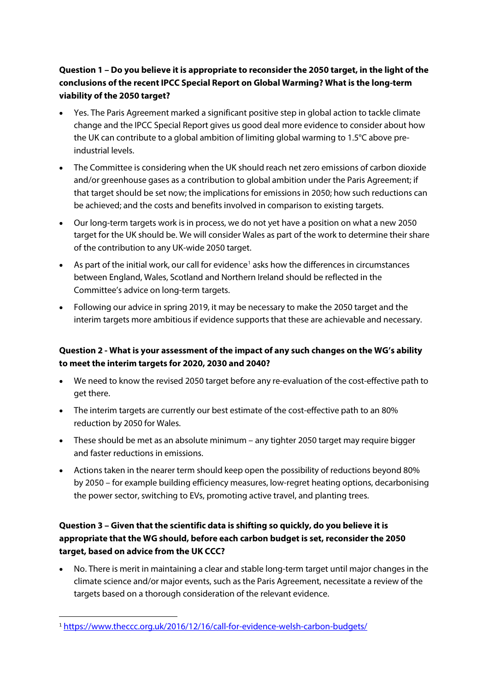# **Question 1 – Do you believe it is appropriate to reconsider the 2050 target, in the light of the conclusions of the recent IPCC Special Report on Global Warming? What is the long-term viability of the 2050 target?**

- Yes. The Paris Agreement marked a significant positive step in global action to tackle climate change and the IPCC Special Report gives us good deal more evidence to consider about how the UK can contribute to a global ambition of limiting global warming to 1.5°C above preindustrial levels.
- The Committee is considering when the UK should reach net zero emissions of carbon dioxide and/or greenhouse gases as a contribution to global ambition under the Paris Agreement; if that target should be set now; the implications for emissions in 2050; how such reductions can be achieved; and the costs and benefits involved in comparison to existing targets.
- Our long-term targets work is in process, we do not yet have a position on what a new 2050 target for the UK should be. We will consider Wales as part of the work to determine their share of the contribution to any UK-wide 2050 target.
- As part of the initial work, our call for evidence<sup>[1](#page-0-0)</sup> asks how the differences in circumstances between England, Wales, Scotland and Northern Ireland should be reflected in the Committee's advice on long-term targets.
- Following our advice in spring 2019, it may be necessary to make the 2050 target and the interim targets more ambitious if evidence supports that these are achievable and necessary.

#### **Question 2 - What is your assessment of the impact of any such changes on the WG's ability to meet the interim targets for 2020, 2030 and 2040?**

- We need to know the revised 2050 target before any re-evaluation of the cost-effective path to get there.
- The interim targets are currently our best estimate of the cost-effective path to an 80% reduction by 2050 for Wales.
- These should be met as an absolute minimum any tighter 2050 target may require bigger and faster reductions in emissions.
- Actions taken in the nearer term should keep open the possibility of reductions beyond 80% by 2050 – for example building efficiency measures, low-regret heating options, decarbonising the power sector, switching to EVs, promoting active travel, and planting trees.

## **Question 3 – Given that the scientific data is shifting so quickly, do you believe it is appropriate that the WG should, before each carbon budget is set, reconsider the 2050 target, based on advice from the UK CCC?**

• No. There is merit in maintaining a clear and stable long-term target until major changes in the climate science and/or major events, such as the Paris Agreement, necessitate a review of the targets based on a thorough consideration of the relevant evidence.

<span id="page-0-0"></span> <sup>1</sup> <https://www.theccc.org.uk/2016/12/16/call-for-evidence-welsh-carbon-budgets/>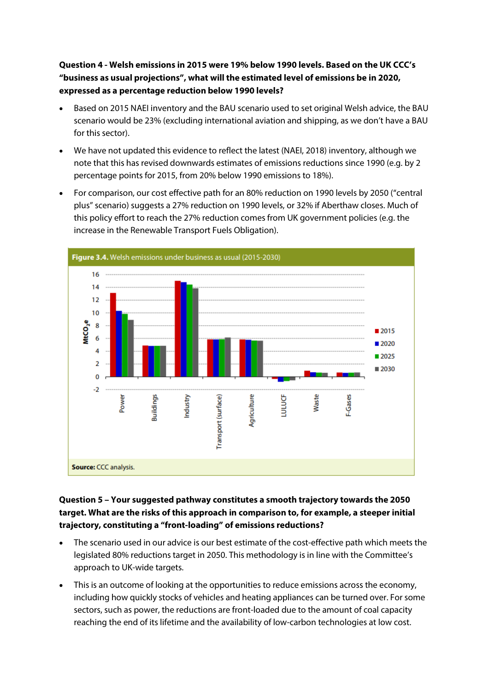**Question 4 - Welsh emissions in 2015 were 19% below 1990 levels. Based on the UK CCC's "business as usual projections", what will the estimated level of emissions be in 2020, expressed as a percentage reduction below 1990 levels?**

- Based on 2015 NAEI inventory and the BAU scenario used to set original Welsh advice, the BAU scenario would be 23% (excluding international aviation and shipping, as we don't have a BAU for this sector).
- We have not updated this evidence to reflect the latest (NAEI, 2018) inventory, although we note that this has revised downwards estimates of emissions reductions since 1990 (e.g. by 2 percentage points for 2015, from 20% below 1990 emissions to 18%).
- For comparison, our cost effective path for an 80% reduction on 1990 levels by 2050 ("central plus" scenario) suggests a 27% reduction on 1990 levels, or 32% if Aberthaw closes. Much of this policy effort to reach the 27% reduction comes from UK government policies (e.g. the increase in the Renewable Transport Fuels Obligation).



#### **Question 5 – Your suggested pathway constitutes a smooth trajectory towards the 2050 target. What are the risks of this approach in comparison to, for example, a steeper initial trajectory, constituting a "front-loading" of emissions reductions?**

- The scenario used in our advice is our best estimate of the cost-effective path which meets the legislated 80% reductions target in 2050. This methodology is in line with the Committee's approach to UK-wide targets.
- This is an outcome of looking at the opportunities to reduce emissions across the economy, including how quickly stocks of vehicles and heating appliances can be turned over. For some sectors, such as power, the reductions are front-loaded due to the amount of coal capacity reaching the end of its lifetime and the availability of low-carbon technologies at low cost.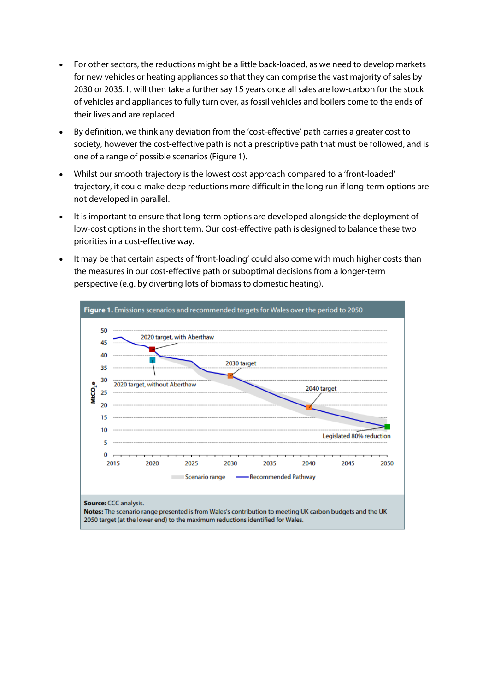- For other sectors, the reductions might be a little back-loaded, as we need to develop markets for new vehicles or heating appliances so that they can comprise the vast majority of sales by 2030 or 2035. It will then take a further say 15 years once all sales are low-carbon for the stock of vehicles and appliances to fully turn over, as fossil vehicles and boilers come to the ends of their lives and are replaced.
- By definition, we think any deviation from the 'cost-effective' path carries a greater cost to society, however the cost-effective path is not a prescriptive path that must be followed, and is one of a range of possible scenarios (Figure 1).
- Whilst our smooth trajectory is the lowest cost approach compared to a 'front-loaded' trajectory, it could make deep reductions more difficult in the long run if long-term options are not developed in parallel.
- It is important to ensure that long-term options are developed alongside the deployment of low-cost options in the short term. Our cost-effective path is designed to balance these two priorities in a cost-effective way.
- It may be that certain aspects of 'front-loading' could also come with much higher costs than the measures in our cost-effective path or suboptimal decisions from a longer-term perspective (e.g. by diverting lots of biomass to domestic heating).

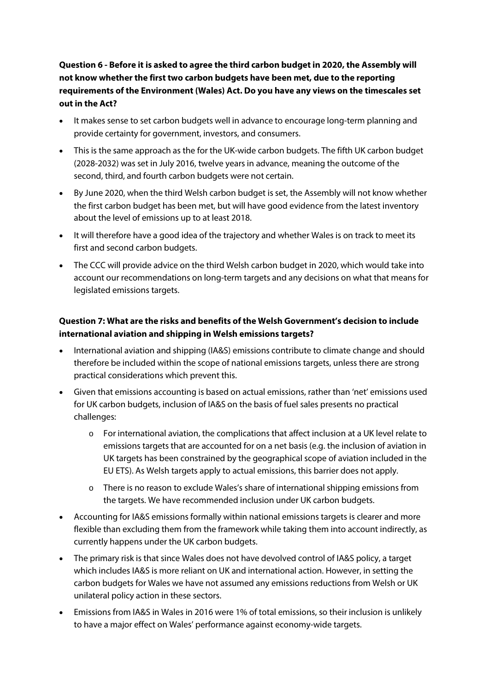**Question 6 - Before it is asked to agree the third carbon budget in 2020, the Assembly will not know whether the first two carbon budgets have been met, due to the reporting requirements of the Environment (Wales) Act. Do you have any views on the timescales set out in the Act?** 

- It makes sense to set carbon budgets well in advance to encourage long-term planning and provide certainty for government, investors, and consumers.
- This is the same approach as the for the UK-wide carbon budgets. The fifth UK carbon budget (2028-2032) was set in July 2016, twelve years in advance, meaning the outcome of the second, third, and fourth carbon budgets were not certain.
- By June 2020, when the third Welsh carbon budget is set, the Assembly will not know whether the first carbon budget has been met, but will have good evidence from the latest inventory about the level of emissions up to at least 2018.
- It will therefore have a good idea of the trajectory and whether Wales is on track to meet its first and second carbon budgets.
- The CCC will provide advice on the third Welsh carbon budget in 2020, which would take into account our recommendations on long-term targets and any decisions on what that means for legislated emissions targets.

# **Question 7: What are the risks and benefits of the Welsh Government's decision to include international aviation and shipping in Welsh emissions targets?**

- International aviation and shipping (IA&S) emissions contribute to climate change and should therefore be included within the scope of national emissions targets, unless there are strong practical considerations which prevent this.
- Given that emissions accounting is based on actual emissions, rather than 'net' emissions used for UK carbon budgets, inclusion of IA&S on the basis of fuel sales presents no practical challenges:
	- $\circ$  For international aviation, the complications that affect inclusion at a UK level relate to emissions targets that are accounted for on a net basis (e.g. the inclusion of aviation in UK targets has been constrained by the geographical scope of aviation included in the EU ETS). As Welsh targets apply to actual emissions, this barrier does not apply.
	- o There is no reason to exclude Wales's share of international shipping emissions from the targets. We have recommended inclusion under UK carbon budgets.
- Accounting for IA&S emissions formally within national emissions targets is clearer and more flexible than excluding them from the framework while taking them into account indirectly, as currently happens under the UK carbon budgets.
- The primary risk is that since Wales does not have devolved control of IA&S policy, a target which includes IA&S is more reliant on UK and international action. However, in setting the carbon budgets for Wales we have not assumed any emissions reductions from Welsh or UK unilateral policy action in these sectors.
- Emissions from IA&S in Wales in 2016 were 1% of total emissions, so their inclusion is unlikely to have a major effect on Wales' performance against economy-wide targets.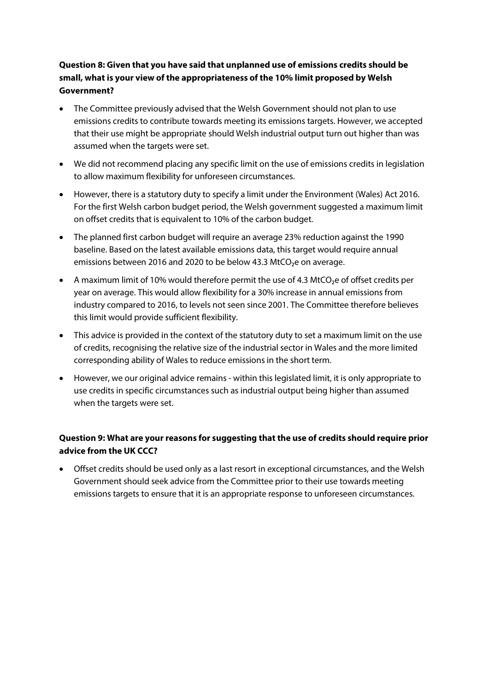# **Question 8: Given that you have said that unplanned use of emissions credits should be small, what is your view of the appropriateness of the 10% limit proposed by Welsh Government?**

- The Committee previously advised that the Welsh Government should not plan to use emissions credits to contribute towards meeting its emissions targets. However, we accepted that their use might be appropriate should Welsh industrial output turn out higher than was assumed when the targets were set.
- We did not recommend placing any specific limit on the use of emissions credits in legislation to allow maximum flexibility for unforeseen circumstances.
- However, there is a statutory duty to specify a limit under the Environment (Wales) Act 2016. For the first Welsh carbon budget period, the Welsh government suggested a maximum limit on offset credits that is equivalent to 10% of the carbon budget.
- The planned first carbon budget will require an average 23% reduction against the 1990 baseline. Based on the latest available emissions data, this target would require annual emissions between 2016 and 2020 to be below 43.3 MtCO<sub>2</sub>e on average.
- A maximum limit of 10% would therefore permit the use of 4.3 MtCO₂e of offset credits per year on average. This would allow flexibility for a 30% increase in annual emissions from industry compared to 2016, to levels not seen since 2001. The Committee therefore believes this limit would provide sufficient flexibility.
- This advice is provided in the context of the statutory duty to set a maximum limit on the use of credits, recognising the relative size of the industrial sector in Wales and the more limited corresponding ability of Wales to reduce emissions in the short term.
- However, we our original advice remains within this legislated limit, it is only appropriate to use credits in specific circumstances such as industrial output being higher than assumed when the targets were set.

## **Question 9: What are your reasons for suggesting that the use of credits should require prior advice from the UK CCC?**

• Offset credits should be used only as a last resort in exceptional circumstances, and the Welsh Government should seek advice from the Committee prior to their use towards meeting emissions targets to ensure that it is an appropriate response to unforeseen circumstances.